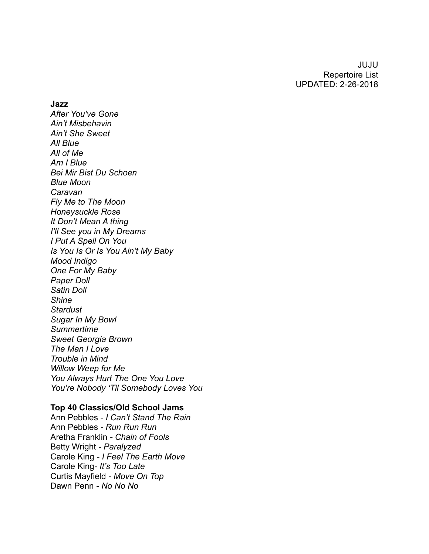JUJU Repertoire List UPDATED: 2-26-2018

**Jazz**

*After You've Gone Ain't Misbehavin Ain't She Sweet All Blue All of Me Am I Blue Bei Mir Bist Du Schoen Blue Moon Caravan Fly Me to The Moon Honeysuckle Rose It Don't Mean A thing I'll See you in My Dreams I Put A Spell On You Is You Is Or Is You Ain't My Baby Mood Indigo One For My Baby Paper Doll Satin Doll Shine Stardust Sugar In My Bowl Summertime Sweet Georgia Brown The Man I Love Trouble in Mind Willow Weep for Me You Always Hurt The One You Love You're Nobody 'Til Somebody Loves You*

## **Top 40 Classics/Old School Jams**

Ann Pebbles *- I Can't Stand The Rain* Ann Pebbles *- Run Run Run*  Aretha Franklin *- Chain of Fools* Betty Wright *- Paralyzed* Carole King *- I Feel The Earth Move* Carole King*- It's Too Late* Curtis Mayfield *- Move On Top*  Dawn Penn *- No No No*